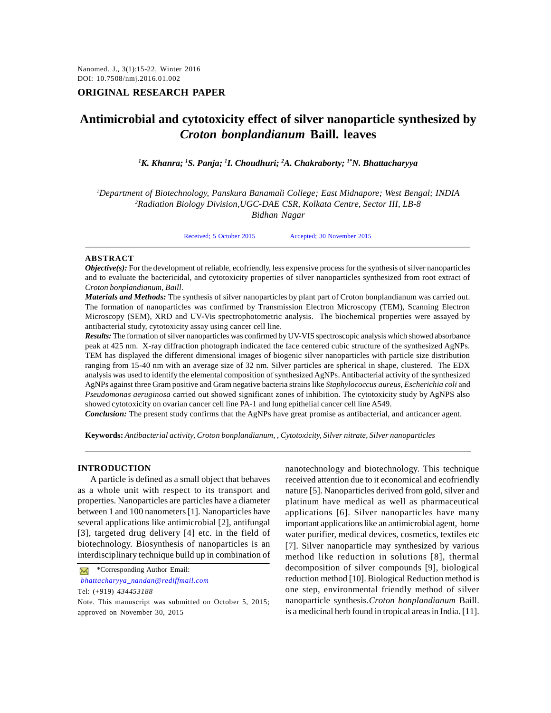## **ORIGINAL RESEARCH PAPER**

# **Antimicrobial and cytotoxicity effect of silver nanoparticle synthesized by** *Croton bonplandianum* **Baill. leaves**

*<sup>1</sup>K. Khanra; <sup>1</sup>S. Panja; <sup>1</sup>I. Choudhuri; <sup>2</sup>A. Chakraborty; 1\*N. Bhattacharyya*

*<sup>1</sup>Department of Biotechnology, Panskura Banamali College; East Midnapore; West Bengal; INDIA <sup>2</sup>Radiation Biology Division,UGC-DAE CSR, Kolkata Centre, Sector III, LB-8*

*Bidhan Nagar*

Received; 5 October 2015 Accepted; 30 November 2015

#### **ABSTRACT**

*Objective(s):* For the development of reliable, ecofriendly, less expensive process for the synthesis of silver nanoparticles and to evaluate the bactericidal, and cytotoxicity properties of silver nanoparticles synthesized from root extract of *Croton bonplandianum, Baill*.

*Materials and Methods:* The synthesis of silver nanoparticles by plant part of Croton bonplandianum was carried out. The formation of nanoparticles was confirmed by Transmission Electron Microscopy (TEM), Scanning Electron Microscopy (SEM), XRD and UV-Vis spectrophotometric analysis. The biochemical properties were assayed by antibacterial study, cytotoxicity assay using cancer cell line.

*Results:* The formation of silver nanoparticles was confirmed by UV-VIS spectroscopic analysis which showed absorbance peak at 425 nm. X-ray diffraction photograph indicated the face centered cubic structure of the synthesized AgNPs. TEM has displayed the different dimensional images of biogenic silver nanoparticles with particle size distribution ranging from 15-40 nm with an average size of 32 nm. Silver particles are spherical in shape, clustered. The EDX analysis was used to identify the elemental composition of synthesized AgNPs. Antibacterial activity of the synthesized AgNPs against three Gram positive and Gram negative bacteria strains like *Staphylococcus aureus*, *Escherichia coli* and *Pseudomonas aeruginosa* carried out showed significant zones of inhibition. The cytotoxicity study by AgNPS also showed cytotoxicity on ovarian cancer cell line PA-1 and lung epithelial cancer cell line A549.

*Conclusion:* The present study confirms that the AgNPs have great promise as antibacterial, and anticancer agent.

**Keywords:** *Antibacterial activity, Croton bonplandianum, , Cytotoxicity, Silver nitrate, Silver nanoparticles*

#### **INTRODUCTION**

A particle is defined as a small object that behaves as a whole unit with respect to its transport and properties. Nanoparticles are particles have a diameter between 1 and 100 nanometers [1]. Nanoparticles have several applications like antimicrobial [2], antifungal [3], targeted drug delivery [4] etc. in the field of biotechnology. Biosynthesis of nanoparticles is an interdisciplinary technique build up in combination of

*bhattacharyya\_nandan@rediffmail.com* Tel: (+919) *434453188*

Note. This manuscript was submitted on October 5, 2015; approved on November 30, 2015

nanotechnology and biotechnology. This technique received attention due to it economical and ecofriendly nature [5]. Nanoparticles derived from gold, silver and platinum have medical as well as pharmaceutical applications [6]. Silver nanoparticles have many important applications like an antimicrobial agent, home water purifier, medical devices, cosmetics, textiles etc [7]. Silver nanoparticle may synthesized by various method like reduction in solutions [8], thermal decomposition of silver compounds [9], biological reduction method [10]. Biological Reduction method is one step, environmental friendly method of silver nanoparticle synthesis.*Croton bonplandianum* Baill. is a medicinal herb found in tropical areas in India. [11].

**X** \*Corresponding Author Email: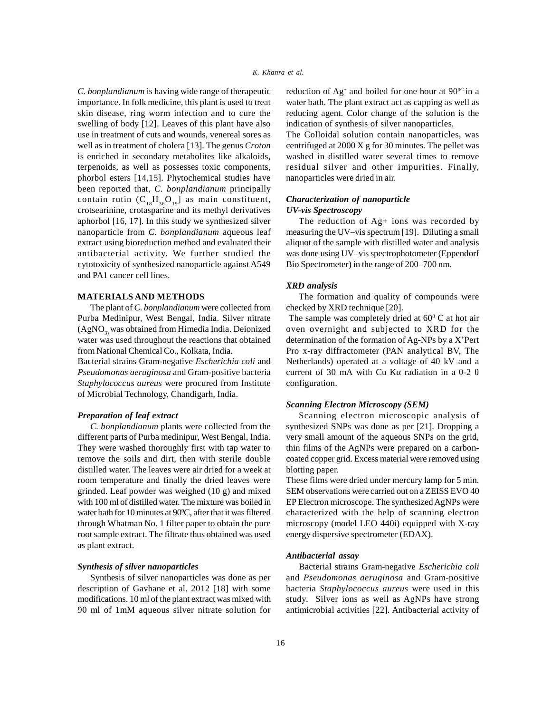*C. bonplandianum* is having wide range of therapeutic importance. In folk medicine, this plant is used to treat skin disease, ring worm infection and to cure the swelling of body [12]. Leaves of this plant have also use in treatment of cuts and wounds, venereal sores as well as in treatment of cholera [13]. The genus *Croton* is enriched in secondary metabolites like alkaloids, terpenoids, as well as possesses toxic components, phorbol esters [14,15]. Phytochemical studies have been reported that, *C. bonplandianum* principally contain rutin  $(C_{18}H_{36}O_{19}]$  as main constituent, crotsearinine, crotasparine and its methyl derivatives aphorbol [16, 17]. In this study we synthesized silver nanoparticle from *C. bonplandianum* aqueous leaf extract using bioreduction method and evaluated their antibacterial activity. We further studied the cytotoxicity of synthesized nanoparticle against A549 and PA1 cancer cell lines.

## **MATERIALS AND METHODS**

The plant of *C*. *bonplandianum* were collected from Purba Medinipur, West Bengal, India. Silver nitrate  $(AgNO<sub>2</sub>)$  was obtained from Himedia India. Deionized water was used throughout the reactions that obtained from National Chemical Co., Kolkata, India.

Bacterial strains Gram-negative *Escherichia coli* and *Pseudomonas aeruginosa* and Gram-positive bacteria *Staphylococcus aureus* were procured from Institute of Microbial Technology, Chandigarh, India.

## *Preparation of leaf extract*

*C. bonplandianum* plants were collected from the different parts of Purba medinipur, West Bengal, India. They were washed thoroughly first with tap water to remove the soils and dirt, then with sterile double distilled water. The leaves were air dried for a week at room temperature and finally the dried leaves were grinded. Leaf powder was weighed (10 g) and mixed with 100 ml of distilled water. The mixture was boiled in water bath for 10 minutes at  $90^{\circ}$ C, after that it was filtered through Whatman No. 1 filter paper to obtain the pure root sample extract. The filtrate thus obtained was used as plant extract.

#### *Synthesis of silver nanoparticles*

Synthesis of silver nanoparticles was done as per description of Gavhane et al. 2012 [18] with some modifications. 10 ml of the plant extract was mixed with 90 ml of 1mM aqueous silver nitrate solution for reduction of  $Ag^+$  and boiled for one hour at  $90^{\circ}$ c in a water bath. The plant extract act as capping as well as reducing agent. Color change of the solution is the indication of synthesis of silver nanoparticles.

The Colloidal solution contain nanoparticles, was centrifuged at 2000 X g for 30 minutes. The pellet was washed in distilled water several times to remove residual silver and other impurities. Finally, nanoparticles were dried in air.

## *Characterization of nanoparticle UV-vis Spectroscopy*

The reduction of Ag+ ions was recorded by measuring the UV–vis spectrum [19]. Diluting a small aliquot of the sample with distilled water and analysis was done using UV–vis spectrophotometer (Eppendorf Bio Spectrometer) in the range of 200–700 nm.

## *XRD analysis*

The formation and quality of compounds were checked by XRD technique [20].

The sample was completely dried at  $60^{\circ}$  C at hot air oven overnight and subjected to XRD for the determination of the formation of Ag-NPs by a X'Pert Pro x-ray diffractometer (PAN analytical BV, The Netherlands) operated at a voltage of 40 kV and a current of 30 mA with Cu K radiation in a  $-2$ configuration.

## *Scanning Electron Microscopy (SEM)*

Scanning electron microscopic analysis of synthesized SNPs was done as per [21]. Dropping a very small amount of the aqueous SNPs on the grid, thin films of the AgNPs were prepared on a carboncoated copper grid. Excess material were removed using blotting paper.

These films were dried under mercury lamp for 5 min. SEM observations were carried out on a ZEISS EVO 40 EP Electron microscope. The synthesized AgNPs were characterized with the help of scanning electron microscopy (model LEO 440i) equipped with X-ray energy dispersive spectrometer (EDAX).

## *Antibacterial assay*

Bacterial strains Gram-negative *Escherichia coli* and *Pseudomonas aeruginosa* and Gram-positive bacteria *Staphylococcus aureus* were used in this study. Silver ions as well as AgNPs have strong antimicrobial activities [22]. Antibacterial activity of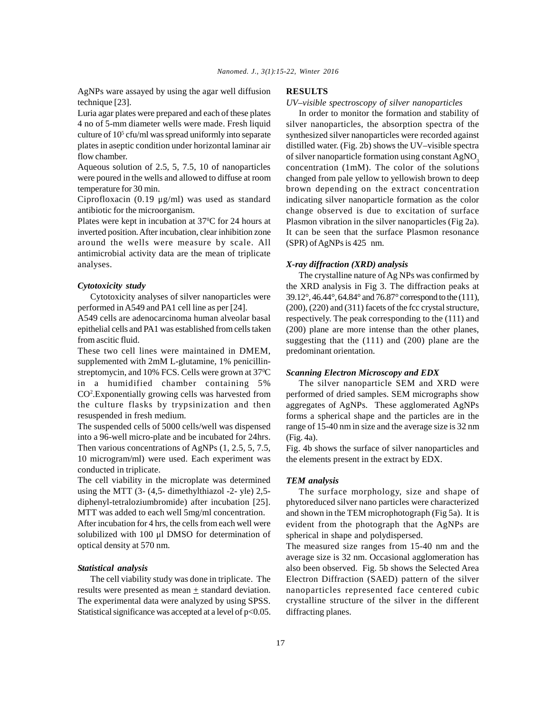AgNPs ware assayed by using the agar well diffusion technique [23].

Luria agar plates were prepared and each of these plates 4 no of 5-mm diameter wells were made. Fresh liquid culture of  $10<sup>5</sup>$  cfu/ml was spread uniformly into separate synt plates in aseptic condition under horizontal laminar air flow chamber.

Aqueous solution of 2.5, 5, 7.5, 10 of nanoparticles were poured in the wells and allowed to diffuse at room temperature for 30 min.

Ciprofloxacin (0.19 μg/ml) was used as standard antibiotic for the microorganism.

Plates were kept in incubation at 37<sup>o</sup>C for 24 hours at inverted position. After incubation, clear inhibition zone around the wells were measure by scale. All antimicrobial activity data are the mean of triplicate analyses.

## *Cytotoxicity study*

Cytotoxicity analyses of silver nanoparticles were performed in A549 and PA1 cell line as per [24].

A549 cells are adenocarcinoma human alveolar basal epithelial cells and PA1 was established from cells taken from ascitic fluid.

These two cell lines were maintained in DMEM, supplemented with 2mM L-glutamine, 1% penicillinstreptomycin, and 10% FCS. Cells were grown at 37<sup>o</sup>C in a humidified chamber containing 5% CO<sup>2</sup>. Exponentially growing cells was harvested from performed the culture flasks by trypsinization and then resuspended in fresh medium.

The suspended cells of 5000 cells/well was dispensed into a 96-well micro-plate and be incubated for 24hrs. Then various concentrations of AgNPs (1, 2.5, 5, 7.5, 10 microgram/ml) were used. Each experiment was conducted in triplicate.

The cell viability in the microplate was determined using the MTT (3- (4,5- dimethylthiazol -2- yle) 2,5 diphenyl-tetraloziumbromide) after incubation [25]. MTT was added to each well 5mg/ml concentration.

After incubation for 4 hrs, the cells from each well were solubilized with 100 μl DMSO for determination of optical density at 570 nm.

## *Statistical analysis*

The cell viability study was done in triplicate. The results were presented as mean  $+$  standard deviation. The experimental data were analyzed by using SPSS. Statistical significance was accepted at a level of  $p<0.05$ .

#### **RESULTS**

*UV–visible spectroscopy of silver nanoparticles*

In order to monitor the formation and stability of silver nanoparticles, the absorption spectra of the synthesized silver nanoparticles were recorded against distilled water. (Fig. 2b) shows the UV–visible spectra of silver nanoparticle formation using constant  $AgNO<sub>3</sub>$ <br>concentration (1mM). The color of the solutions changed from pale yellow to yellowish brown to deep brown depending on the extract concentration indicating silver nanoparticle formation as the color change observed is due to excitation of surface Plasmon vibration in the silver nanoparticles (Fig 2a). It can be seen that the surface Plasmon resonance (SPR) of AgNPs is 425 nm.

#### *X-ray diffraction (XRD) analysis*

The crystalline nature of Ag NPs was confirmed by the XRD analysis in Fig 3. The diffraction peaks at 39.12°, 46.44°, 64.84° and 76.87° correspond to the (111), (200), (220) and (311) facets of the fcc crystal structure, respectively. The peak corresponding to the (111) and (200) plane are more intense than the other planes, suggesting that the (111) and (200) plane are the predominant orientation.

#### *Scanning Electron Microscopy and EDX*

The silver nanoparticle SEM and XRD were performed of dried samples. SEM micrographs show aggregates of AgNPs. These agglomerated AgNPs forms a spherical shape and the particles are in the range of 15-40 nm in size and the average size is 32 nm (Fig. 4a).

Fig. 4b shows the surface of silver nanoparticles and the elements present in the extract by EDX.

## *TEM analysis*

The surface morphology, size and shape of phytoreduced silver nano particles were characterized and shown in the TEM microphotograph (Fig 5a). It is evident from the photograph that the AgNPs are spherical in shape and polydispersed.

The measured size ranges from 15-40 nm and the average size is 32 nm. Occasional agglomeration has also been observed. Fig. 5b shows the Selected Area Electron Diffraction (SAED) pattern of the silver nanoparticles represented face centered cubic crystalline structure of the silver in the different diffracting planes.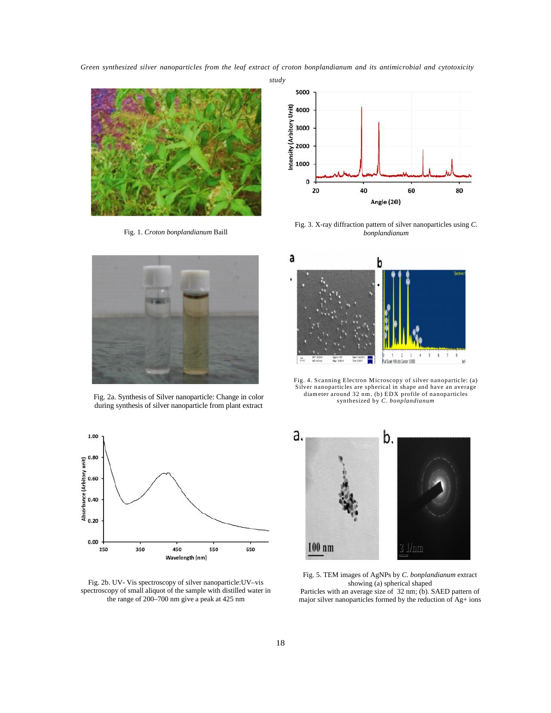*Nanomed. J., 3(1):15-22, Winter 2016 Green synthesized silver nanoparticles from the leaf extract of croton bonplandianum and its antimicrobial and cytotoxicity*



Fig. 1. *Croton bonplandianum* Baill



Fig. 3. X-ray diffraction pattern of silver nanoparticles using *C*. *bonplandianum*



Fig. 2a. Synthesis of Silver nanoparticle: Change in color during synthesis of silver nanoparticle from plant extract



Fig. 2b. UV- Vis spectroscopy of silver nanoparticle:UV–vis spectroscopy of small aliquot of the sample with distilled water in the range of 200–700 nm give a peak at 425 nm



Silver nanoparticles are spherical in shape and have an average diameter around 32 nm. (b) EDX profile of nanoparticles diam eter around 32 nm. (b) EDX profile of nanoparticles<br>
synthesized by C. bonplandianum<br>
synthesized by C. bonplandianum synthesized by *C. bonplandianum*



Fig. 5. TEM images of AgNPs by *C. bonplandianum* extract showing (a) spherical shaped

Particles with an average size of 32 nm; (b). SAED pattern of major silver nanoparticles formed by the reduction of Ag+ ions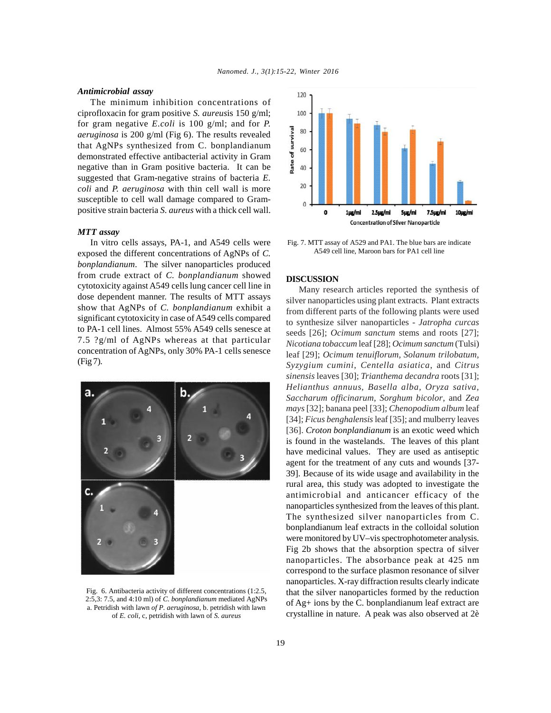#### *Antimicrobial assay*

The minimum inhibition concentrations of ciprofloxacin for gram positive *S. aureus*is 150 g/ml; for gram negative *E.coli* is 100 g/ml; and for *P. aeruginosa* is 200 g/ml (Fig 6). The results revealed<br>that AgNPs synthesized from C. bonplandianum<br>demonstrated effective antibacterial activity in Gram<br>negative than in Gram positive bacteria. It can be that AgNPs synthesized from C. bonplandianum  $\frac{3}{60}$  60 demonstrated effective antibacterial activity in Gram negative than in Gram positive bacteria. It can be  $\frac{2}{3}$  40 suggested that Gram-negative strains of bacteria *E. coli* and *P. aeruginosa* with thin cell wall is more susceptible to cell wall damage compared to Grampositive strain bacteria *S. aureus* with a thick cell wall.

#### *MTT assay*

In vitro cells assays, PA-1, and A549 cells were exposed the different concentrations of AgNPs of *C. bonplandianum*. The silver nanoparticles produced from crude extract of *C. bonplandianum* showed cytotoxicity against A549 cells lung cancer cell line in dose dependent manner. The results of MTT assays show that AgNPs of *C. bonplandianum* exhibit a significant cytotoxicity in case of A549 cells compared to PA-1 cell lines. Almost 55% A549 cells senesce at 7.5 ?g/ml of AgNPs whereas at that particular concentration of AgNPs, only 30% PA-1 cells senesce (Fig 7).



Fig. 6. Antibacteria activity of different concentrations (1:2.5, 2:5,3: 7.5, and 4:10 ml) of *C. bonplandianum* mediated AgNPs a. Petridish with lawn *of P. aeruginosa*, b. petridish with lawn of *E. coli*, c, petridish with lawn of *S. aureus*



Fig. 7. MTT assay of A529 and PA1. The blue bars are indicate A549 cell line, Maroon bars for PA1 cell line

#### **DISCUSSION**

Many research articles reported the synthesis of silver nanoparticles using plant extracts. Plant extracts from different parts of the following plants were used to synthesize silver nanoparticles - *Jatropha curcas* seeds [26]; *Ocimum sanctum* stems and roots [27]; *Nicotiana tobaccum* leaf [28]; *Ocimum sanctum* (Tulsi) leaf [29]; *Ocimum tenuiflorum, Solanum trilobatum, Syzygium cumini*, *Centella asiatica*, and *Citrus sinensis* leaves [30]; *Trianthema decandra* roots [31]; *Helianthus annuus, Basella alba, Oryza sativa, Saccharum officinarum, Sorghum bicolor*, and *Zea mays* [32]; banana peel [33]; *Chenopodium album* leaf [34]; *Ficus benghalensis* leaf [35]; and mulberry leaves [36]. *Croton bonplandianum* is an exotic weed which is found in the wastelands. The leaves of this plant have medicinal values. They are used as antiseptic agent for the treatment of any cuts and wounds [37- 39]. Because of its wide usage and availability in the rural area, this study was adopted to investigate the antimicrobial and anticancer efficacy of the nanoparticles synthesized from the leaves of this plant. The synthesized silver nanoparticles from C. bonplandianum leaf extracts in the colloidal solution were monitored by UV–vis spectrophotometer analysis. Fig 2b shows that the absorption spectra of silver nanoparticles. The absorbance peak at 425 nm correspond to the surface plasmon resonance of silver nanoparticles. X-ray diffraction results clearly indicate that the silver nanoparticles formed by the reduction of Ag+ ions by the C. bonplandianum leaf extract are crystalline in nature. A peak was also observed at 2è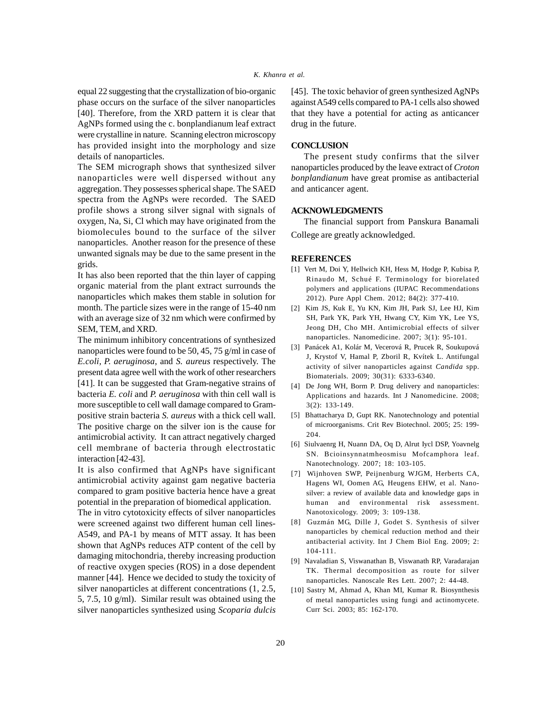# *Nanomed. J., 3(1):15-22, Winter 2016 K. Khanra et al.*

equal 22 suggesting that the crystallization of bio-organic phase occurs on the surface of the silver nanoparticles [40]. Therefore, from the XRD pattern it is clear that AgNPs formed using the c. bonplandianum leaf extract were crystalline in nature. Scanning electron microscopy has provided insight into the morphology and size details of nanoparticles.

The SEM micrograph shows that synthesized silver nanoparticles were well dispersed without any aggregation. They possesses spherical shape. The SAED spectra from the AgNPs were recorded. The SAED profile shows a strong silver signal with signals of oxygen, Na, Si, Cl which may have originated from the biomolecules bound to the surface of the silver nanoparticles. Another reason for the presence of these unwanted signals may be due to the same present in the grids.

It has also been reported that the thin layer of capping organic material from the plant extract surrounds the nanoparticles which makes them stable in solution for month. The particle sizes were in the range of 15-40 nm with an average size of 32 nm which were confirmed by SEM, TEM, and XRD.

The minimum inhibitory concentrations of synthesized nanoparticles were found to be 50, 45, 75 g/ml in case of *E.coli, P. aeruginosa*, and *S. aureus* respectively. The present data agree well with the work of other researchers [41]. It can be suggested that Gram-negative strains of bacteria *E. coli* and *P. aeruginosa* with thin cell wall is more susceptible to cell wall damage compared to Grampositive strain bacteria *S. aureus* with a thick cell wall. The positive charge on the silver ion is the cause for antimicrobial activity. It can attract negatively charged cell membrane of bacteria through electrostatic interaction [42-43].

It is also confirmed that AgNPs have significant antimicrobial activity against gam negative bacteria compared to gram positive bacteria hence have a great potential in the preparation of biomedical application.

The in vitro cytotoxicity effects of silver nanoparticles were screened against two different human cell lines-A549, and PA-1 by means of MTT assay. It has been shown that AgNPs reduces ATP content of the cell by damaging mitochondria, thereby increasing production of reactive oxygen species (ROS) in a dose dependent manner [44]. Hence we decided to study the toxicity of silver nanoparticles at different concentrations (1, 2.5, 5, 7.5, 10 g/ml). Similar result was obtained using the silver nanoparticles synthesized using *Scoparia dulcis*

[45]. The toxic behavior of green synthesized AgNPs against A549 cells compared to PA-1 cells also showed that they have a potential for acting as anticancer drug in the future.

#### **CONCLUSION**

The present study confirms that the silver nanoparticles produced by the leave extract of *Croton bonplandianum* have great promise as antibacterial and anticancer agent.

## **ACKNOWLEDGMENTS**

The financial support from Panskura Banamali

College are greatly acknowledged.

## **REFERENCES**

- [1] Vert M, Doi Y, Hellwich KH, Hess M, Hodge P, Kubisa P, Rinaudo M, Schué F. Terminology for biorelated polymers and applications (IUPAC Recommendations 2012). Pure Appl Chem. 2012; 84(2): 377-410.
- [2] Kim JS, Kuk E, Yu KN, Kim JH, Park SJ, Lee HJ, Kim SH, Park YK, Park YH, Hwang CY, Kim YK, Lee YS, Jeong DH, Cho MH. Antimicrobial effects of silver nanoparticles. Nanomedicine. 2007; 3(1): 95-101.
- [3] Panácek A1, Kolár M, Vecerová R, Prucek R, Soukupová J, Krystof V, Hamal P, Zboril R, Kvítek L. Antifungal activity of silver nanoparticles against *Candida* spp. Biomaterials. 2009; 30(31): 6333-6340.
- [4] De Jong WH, Borm P. Drug delivery and nanoparticles: Applications and hazards. Int J Nanomedicine. 2008; 3(2): 133-149.
- [5] Bhattacharya D, Gupt RK. Nanotechnology and potential of microorganisms. Crit Rev Biotechnol. 2005; 25: 199- 204.
- [6] Siulvaenrg H, Nuann DA, Oq D, Alrut Iycl DSP, Yoavnelg SN. Bcioinsynnatmheosmisu Mofcamphora leaf. Nanotechnology. 2007; 18: 103-105.
- [7] Wijnhoven SWP, Peijnenburg WJGM, Herberts CA, Hagens WI, Oomen AG, Heugens EHW, et al. Nanosilver: a review of available data and knowledge gaps in human and environmental risk assessment. Nanotoxicology. 2009; 3: 109-138.
- [8] Guzmán MG, Dille J, Godet S. Synthesis of silver nanoparticles by chemical reduction method and their antibacterial activity. Int J Chem Biol Eng. 2009; 2: 104-111.
- [9] Navaladian S, Viswanathan B, Viswanath RP, Varadarajan TK. Thermal decomposition as route for silver nanoparticles. Nanoscale Res Lett. 2007; 2: 44-48.
- [10] Sastry M, Ahmad A, Khan MI, Kumar R. Biosynthesis of metal nanoparticles using fungi and actinomycete. Curr Sci. 2003; 85: 162-170.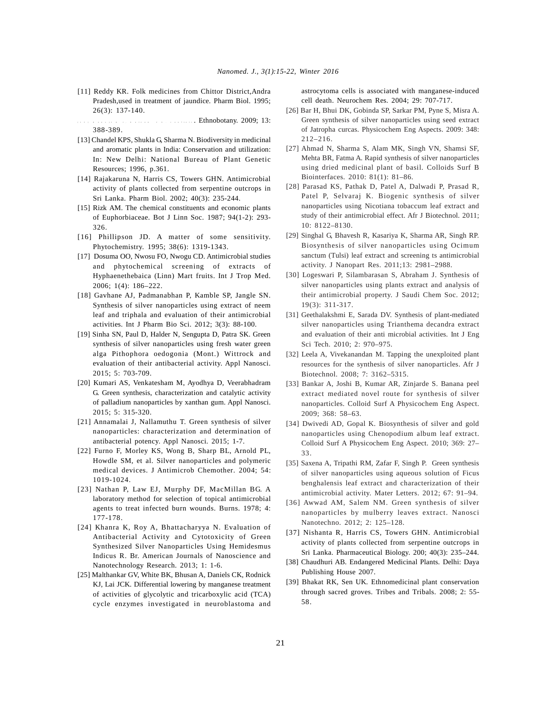- [11] Reddy KR. Folk medicines from Chittor District,Andra Pradesh,used in treatment of jaundice. Pharm Biol. 1995; 26(3): 137-140.
- [ 13 ] Ethnobotany. 2009; 13: 388-389.
- [13] Chandel KPS, Shukla G, Sharma N. Biodiversity in medicinal and aromatic plants in India: Conservation and utilization: In: New Delhi: National Bureau of Plant Genetic Resources; 1996, p.361.
- [14] Rajakaruna N, Harris CS, Towers GHN. Antimicrobial activity of plants collected from serpentine outcrops in Sri Lanka. Pharm Biol. 2002; 40(3): 235-244.
- [15] Rizk AM. The chemical constituents and economic plants of Euphorbiaceae. Bot J Linn Soc. 1987; 94(1-2): 293- 326.
- [16] Phillipson JD. A matter of some sensitivity. Phytochemistry. 1995; 38(6): 1319-1343.
- [17] Dosuma OO, Nwosu FO, Nwogu CD. Antimicrobial studies and phytochemical screening of extracts of Hyphaenethebaica (Linn) Mart fruits. Int J Trop Med. 2006; 1(4): 186–222.
- [18] Gavhane AJ, Padmanabhan P, Kamble SP, Jangle SN. Synthesis of silver nanoparticles using extract of neem leaf and triphala and evaluation of their antimicrobial activities. Int J Pharm Bio Sci. 2012; 3(3): 88-100.
- [19] Sinha SN, Paul D, Halder N, Sengupta D, Patra SK. Green synthesis of silver nanoparticles using fresh water green alga Pithophora oedogonia (Mont.) Wittrock and evaluation of their antibacterial activity. Appl Nanosci. 2015; 5: 703-709.
- [20] Kumari AS, Venkatesham M, Ayodhya D, Veerabhadram G. Green synthesis, characterization and catalytic activity of palladium nanoparticles by xanthan gum. Appl Nanosci. 2015; 5: 315-320.
- [21] Annamalai J, Nallamuthu T. Green synthesis of silver nanoparticles: characterization and determination of antibacterial potency. Appl Nanosci*.* 2015; 1-7.
- [22] Furno F, Morley KS, Wong B, Sharp BL, Arnold PL, Howdle SM, et al. Silver nanoparticles and polymeric medical devices. J Antimicrob Chemother*.* 2004; 54: 1019-1024.
- [23] Nathan P, Law EJ, Murphy DF, MacMillan BG. A laboratory method for selection of topical antimicrobial agents to treat infected burn wounds. Burns. 1978; 4: 177-178.
- [24] Khanra K, Roy A, Bhattacharyya N. Evaluation of Antibacterial Activity and Cytotoxicity of Green Synthesized Silver Nanoparticles Using Hemidesmus Indicus R. Br. American Journals of Nanoscience and Nanotechnology Research. 2013; 1: 1-6.
- [25] Malthankar GV, White BK, Bhusan A, Daniels CK, Rodnick KJ, Lai JCK. Differential lowering by manganese treatment of activities of glycolytic and tricarboxylic acid (TCA) cycle enzymes investigated in neuroblastoma and

astrocytoma cells is associated with manganese-induced cell death. Neurochem Res*.* 2004; 29: 707-717.

- [26] Bar H, Bhui DK, Gobinda SP, Sarkar PM, Pyne S, Misra A. Green synthesis of silver nanoparticles using seed extract of Jatropha curcas. Physicochem Eng Aspects. 2009: 348: 212–216.
- [27] Ahmad N, Sharma S, Alam MK, Singh VN, Shamsi SF, Mehta BR, Fatma A. Rapid synthesis of silver nanoparticles using dried medicinal plant of basil. Colloids Surf B Biointerfaces. 2010: 81(1): 81-86.
- [28] Parasad KS, Pathak D, Patel A, Dalwadi P, Prasad R, Patel P, Selvaraj K. Biogenic synthesis of silver nanoparticles using Nicotiana tobaccum leaf extract and study of their antimicrobial effect. Afr J Biotechnol. 2011; 10: 8122–8130.
- [29] Singhal G, Bhavesh R, Kasariya K, Sharma AR, Singh RP. Biosynthesis of silver nanoparticles using Ocimum sanctum (Tulsi) leaf extract and screening ts antimicrobial activity. J Nanopart Res. 2011;13: 2981–2988.
- [30] Logeswari P, Silambarasan S, Abraham J. Synthesis of silver nanoparticles using plants extract and analysis of their antimicrobial property. J Saudi Chem Soc. 2012; 19(3): 311-317.
- [31] Geethalakshmi E, Sarada DV. Synthesis of plant-mediated silver nanoparticles using Trianthema decandra extract and evaluation of their anti microbial activities. Int J Eng Sci Tech. 2010; 2: 970–975.
- [32] Leela A, Vivekanandan M. Tapping the unexploited plant resources for the synthesis of silver nanoparticles. Afr J Biotechnol. 2008; 7: 3162–5315.
- [33] Bankar A, Joshi B, Kumar AR, Zinjarde S. Banana peel extract mediated novel route for synthesis of silver nanoparticles. Colloid Surf A Physicochem Eng Aspect. 2009; 368: 58–63.
- [34] Dwivedi AD, Gopal K. Biosynthesis of silver and gold nanoparticles using Chenopodium album leaf extract. Colloid Surf A Physicochem Eng Aspect. 2010; 369: 27– 33.
- [35] Saxena A, Tripathi RM, Zafar F, Singh P. Green synthesis of silver nanoparticles using aqueous solution of Ficus benghalensis leaf extract and characterization of their antimicrobial activity. Mater Letters. 2012; 67: 91–94.
- [36] Awwad AM, Salem NM. Green synthesis of silver nanoparticles by mulberry leaves extract. Nanosci Nanotechno. 2012; 2: 125–128.
- [37] Nishanta R, Harris CS, Towers GHN. Antimicrobial activity of plants collected from serpentine outcrops in Sri Lanka. Pharmaceutical Biology. 200; 40(3): 235–244.
- [38] Chaudhuri AB. Endangered Medicinal Plants*.* Delhi: Daya Publishing House 2007.
- [39] Bhakat RK, Sen UK. Ethnomedicinal plant conservation through sacred groves. Tribes and Tribals*.* 2008; 2: 55- 58.